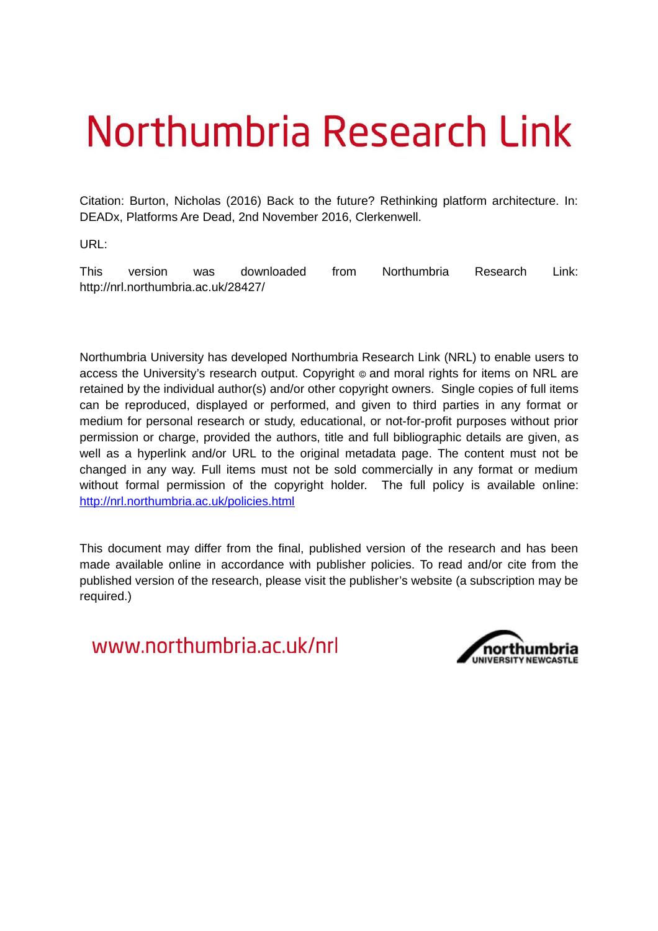## Northumbria Research Link

Citation: Burton, Nicholas (2016) Back to the future? Rethinking platform architecture. In: DEADx, Platforms Are Dead, 2nd November 2016, Clerkenwell.

URL:

This version was downloaded from Northumbria Research Link: http://nrl.northumbria.ac.uk/28427/

Northumbria University has developed Northumbria Research Link (NRL) to enable users to access the University's research output. Copyright  $\circ$  and moral rights for items on NRL are retained by the individual author(s) and/or other copyright owners. Single copies of full items can be reproduced, displayed or performed, and given to third parties in any format or medium for personal research or study, educational, or not-for-profit purposes without prior permission or charge, provided the authors, title and full bibliographic details are given, as well as a hyperlink and/or URL to the original metadata page. The content must not be changed in any way. Full items must not be sold commercially in any format or medium without formal permission of the copyright holder. The full policy is available online: <http://nrl.northumbria.ac.uk/policies.html>

This document may differ from the final, published version of the research and has been made available online in accordance with publisher policies. To read and/or cite from the published version of the research, please visit the publisher's website (a subscription may be required.)

www.northumbria.ac.uk/nrl

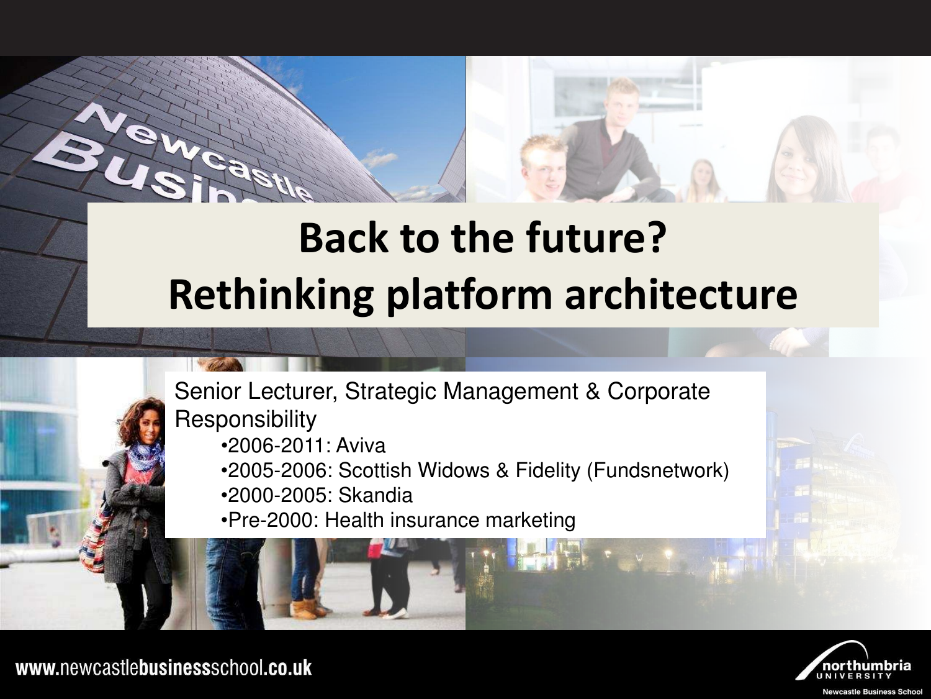### Rethinking platform architecture **Back to the future?**





www.newcastlebusinessschool.co.uk

**Newcastle Business School**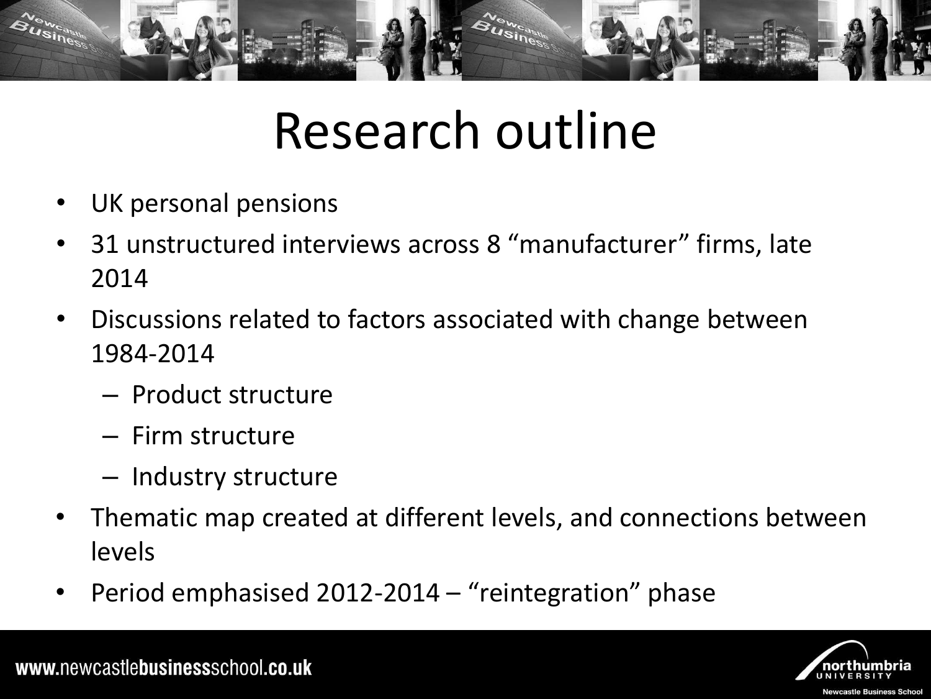

### Research outline

- UK personal pensions
- 31 unstructured interviews across 8 "manufacturer" firms, late 2014
- Discussions related to factors associated with change between 1984-2014
	- Product structure
	- Firm structure
	- Industry structure
- Thematic map created at different levels, and connections between levels
- Period emphasised  $2012-2014$  "reintegration" phase

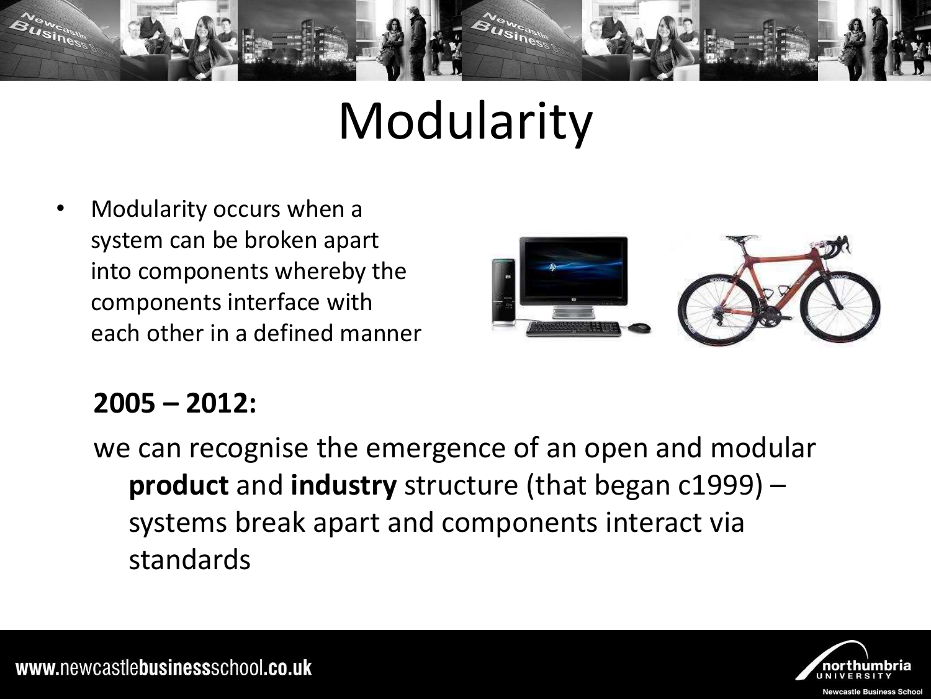

### Modularity

• Modularity occurs when a system can be broken apart into components whereby the components interface with each other in a defined manner



#### **2005 – 2012:**

we can recognise the emergence of an open and modular **product** and **industry** structure (that began c1999) – systems break apart and components interact via standards



www.newcastlebusinessschool.co.uk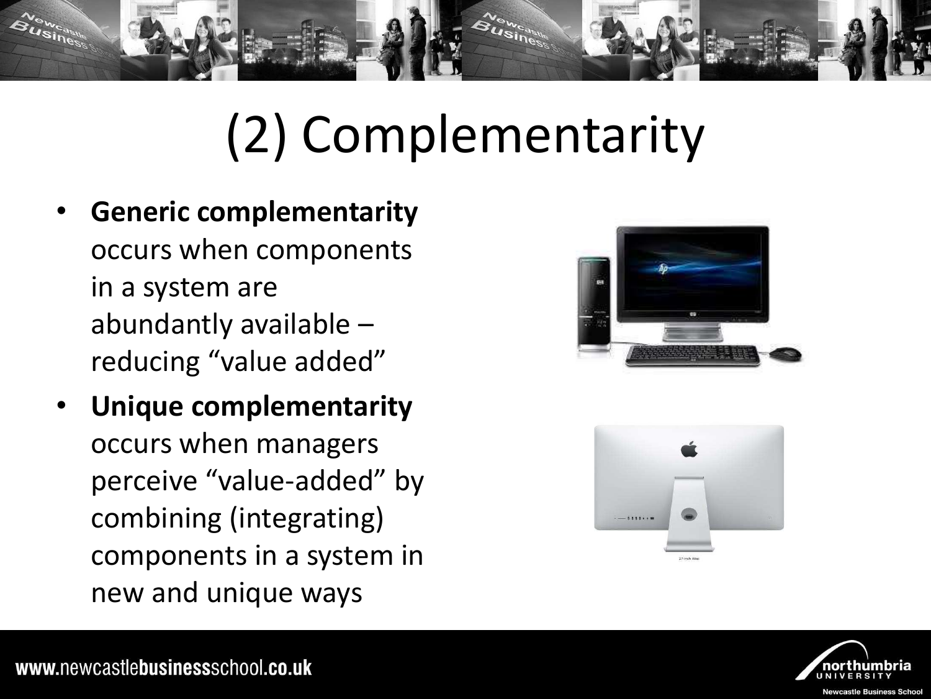

## (2) Complementarity

- **Generic complementarity** occurs when components in a system are abundantly available – reducing "value added"
- **Unique complementarity** occurs when managers perceive "value-added" by combining (integrating) components in a system in new and unique ways





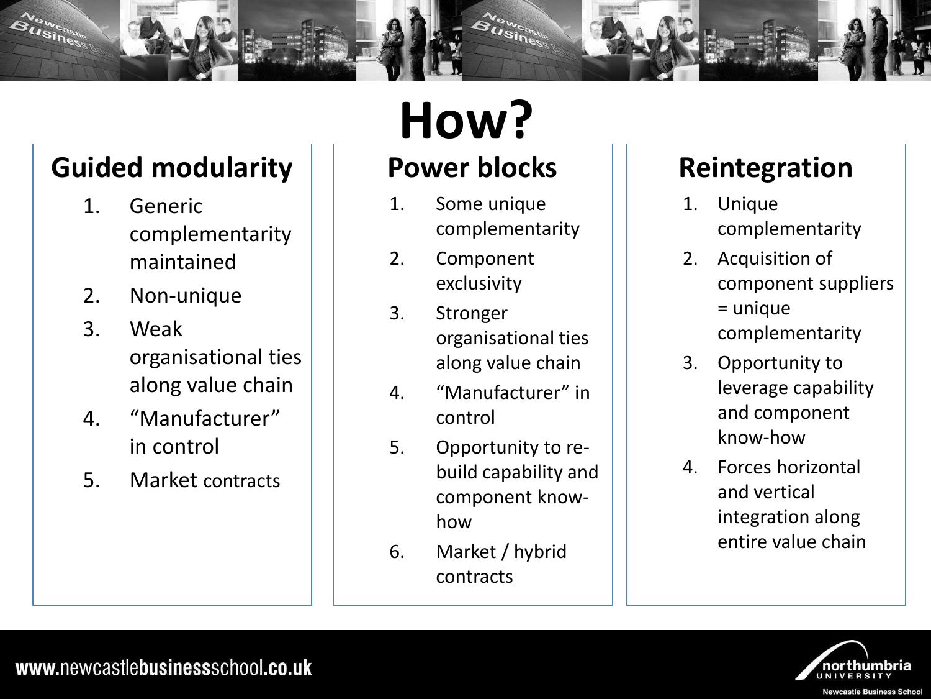

#### **Guided modularity**

- 1. Generic complementarity maintained
- 2. Non-unique
- 3. Weak organisational ties along value chain
- 4. "Manufacturer" in control
- 5. Market contracts

## **How?**

### **Power blocks**

- 1. Some unique complementarity
- 2. Component exclusivity
- 3. Stronger organisational ties along value chain
- 4. "Manufacturer" in control
- 5. Opportunity to rebuild capability and component knowhow
- 6. Market / hybrid contracts

### **Reintegration**

- 1. Unique complementarity
- 2. Acquisition of component suppliers = unique complementarity
- 3. Opportunity to leverage capability and component know-how
- 4. Forces horizontal and vertical integration along entire value chain

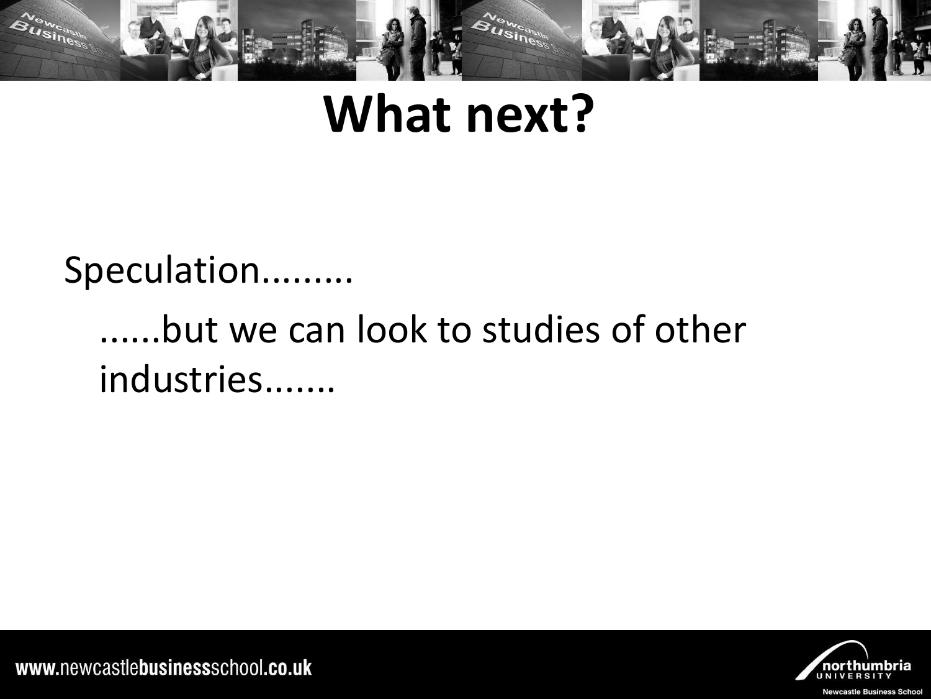

### **What next?**

### Speculation.........

### .but we can look to studies of other industries.......



www.newcastlebusinessschool.co.uk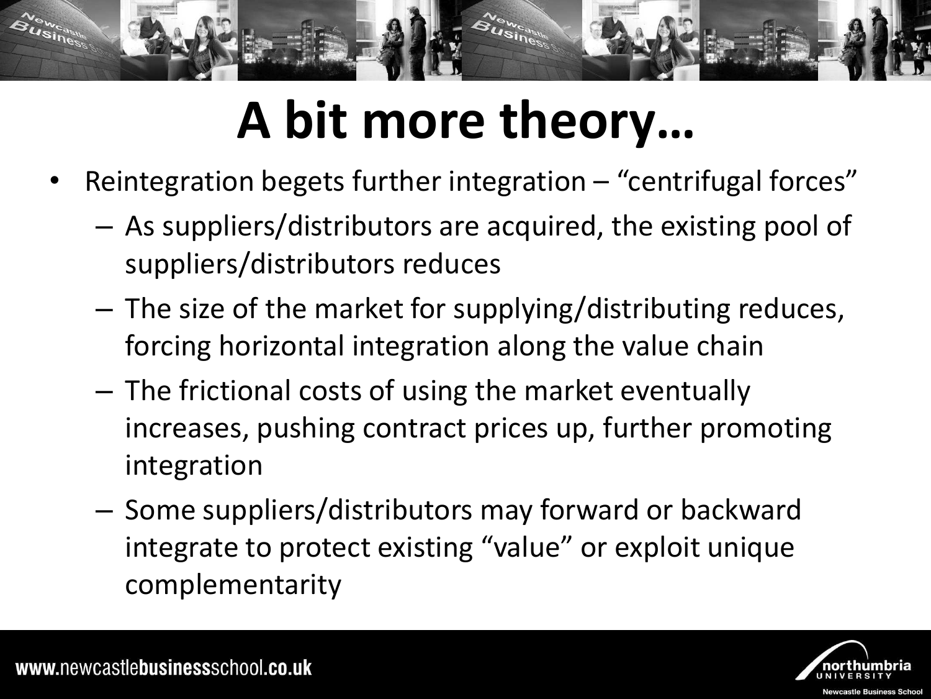

## A bit more theory...

- Reintegration begets further integration  $-$  "centrifugal forces"
	- As suppliers/distributors are acquired, the existing pool of suppliers/distributors reduces
	- The size of the market for supplying/distributing reduces, forcing horizontal integration along the value chain
	- The frictional costs of using the market eventually increases, pushing contract prices up, further promoting integration
	- Some suppliers/distributors may forward or backward integrate to protect existing "value" or exploit unique complementarity

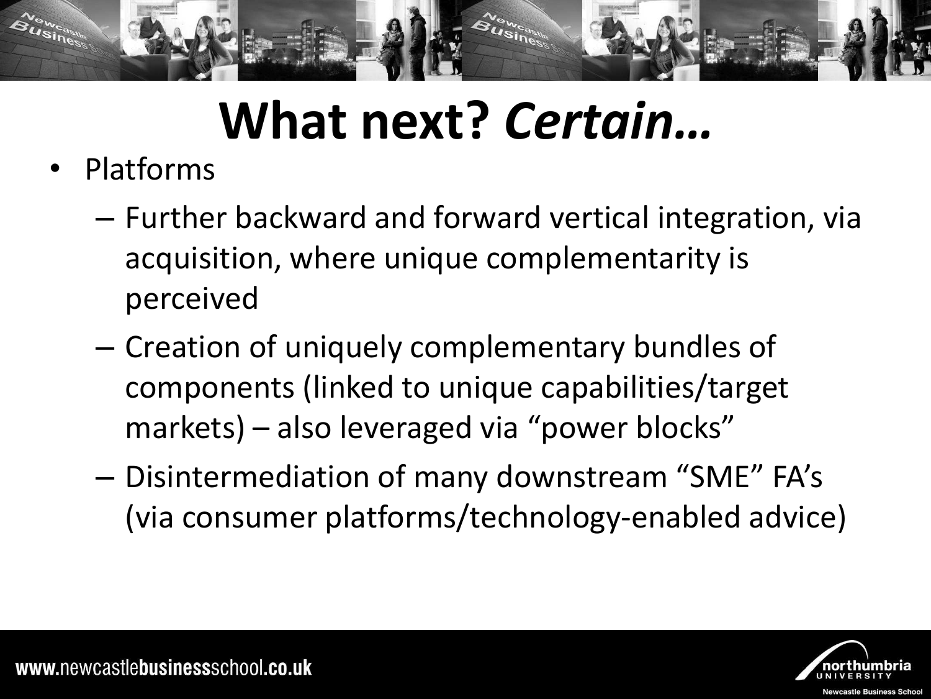

# **What next?** *Certain…*

- Platforms
	- Further backward and forward vertical integration, via acquisition, where unique complementarity is perceived
	- Creation of uniquely complementary bundles of components (linked to unique capabilities/target markets) – also leveraged via "power blocks"
	- Disintermediation of many downstream "SME" FA's (via consumer platforms/technology-enabled advice)

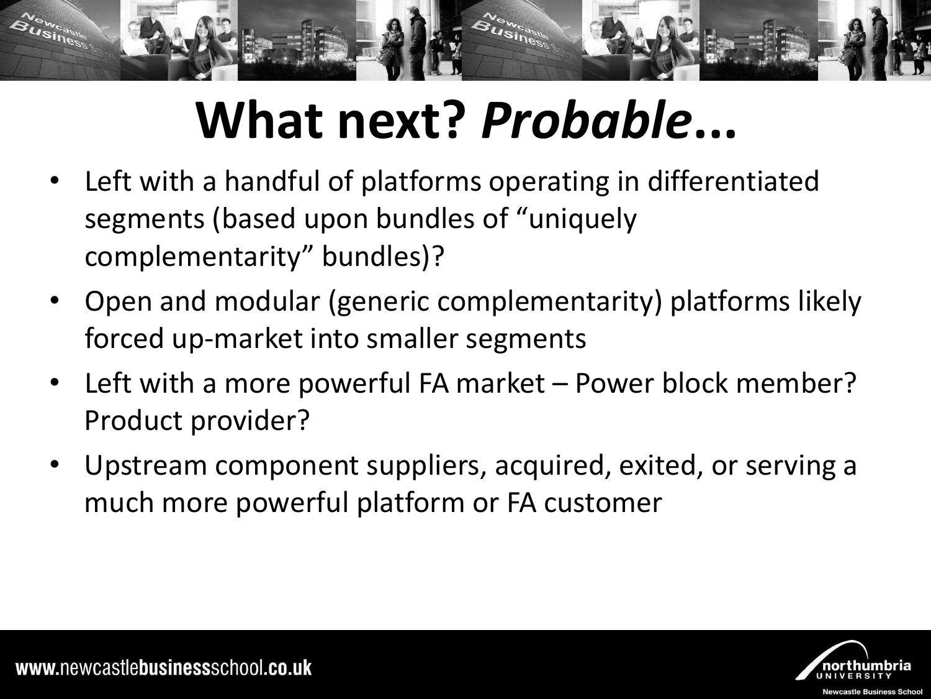

# **What next?** *Probable***...**

- Left with a handful of platforms operating in differentiated segments (based upon bundles of "uniquely" complementarity" bundles)?
- Open and modular (generic complementarity) platforms likely forced up-market into smaller segments
- Left with a more powerful FA market Power block member? Product provider?
- Upstream component suppliers, acquired, exited, or serving a much more powerful platform or FA customer

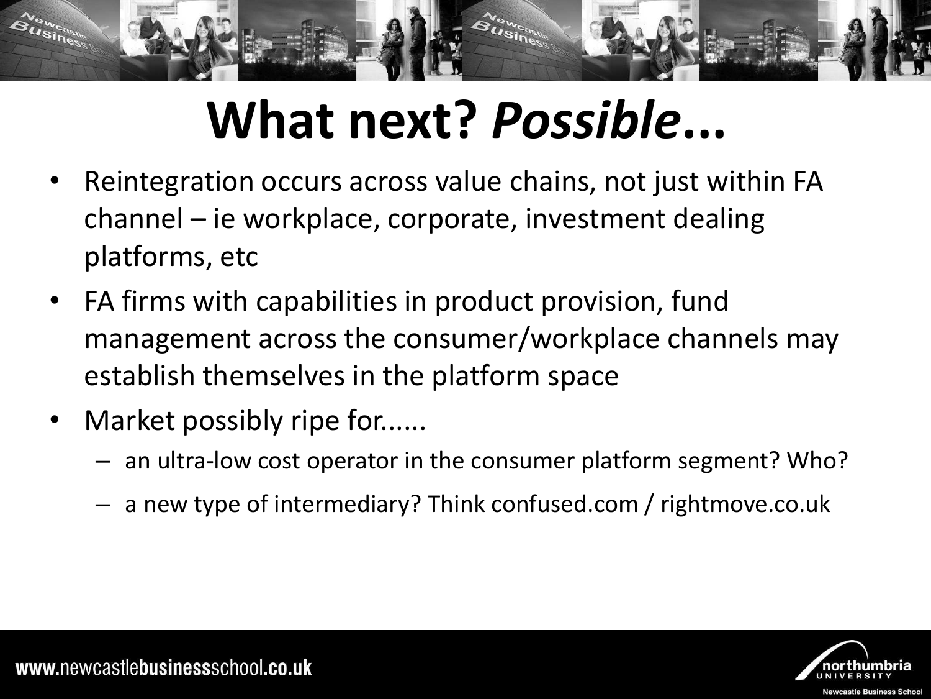

# **What next?** *Possible***...**

- Reintegration occurs across value chains, not just within FA channel – ie workplace, corporate, investment dealing platforms, etc
- FA firms with capabilities in product provision, fund management across the consumer/workplace channels may establish themselves in the platform space
- Market possibly ripe for......
	- an ultra-low cost operator in the consumer platform segment? Who?
	- a new type of intermediary? Think confused.com / rightmove.co.uk